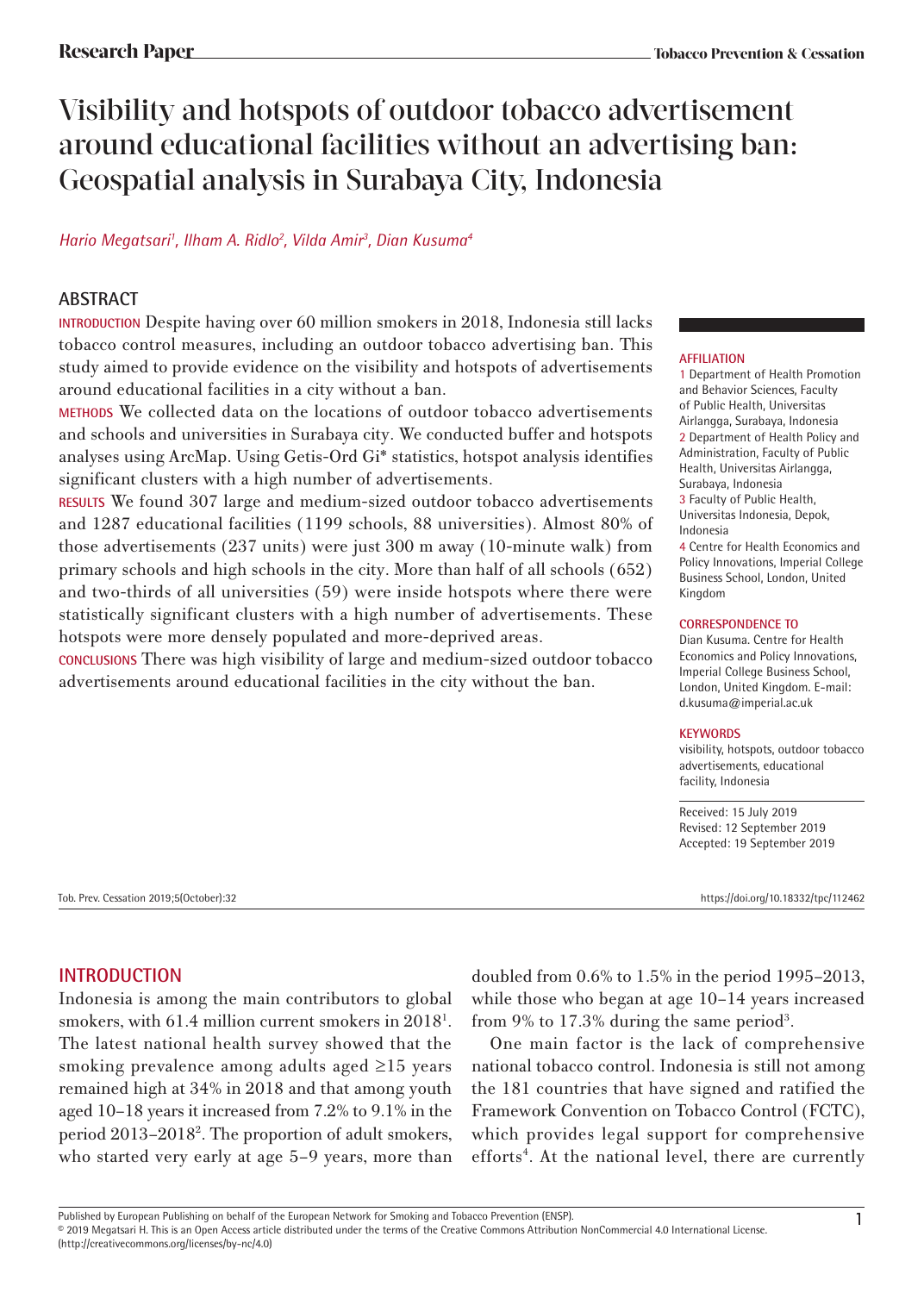# Visibility and hotspots of outdoor tobacco advertisement around educational facilities without an advertising ban: Geospatial analysis in Surabaya City, Indonesia

# *Hario Megatsari1 , Ilham A. Ridlo2 , Vilda Amir3 , Dian Kusuma4*

# **ABSTRACT**

**INTRODUCTION** Despite having over 60 million smokers in 2018, Indonesia still lacks tobacco control measures, including an outdoor tobacco advertising ban. This study aimed to provide evidence on the visibility and hotspots of advertisements around educational facilities in a city without a ban.

**METHODS** We collected data on the locations of outdoor tobacco advertisements and schools and universities in Surabaya city. We conducted buffer and hotspots analyses using ArcMap. Using Getis-Ord Gi\* statistics, hotspot analysis identifies significant clusters with a high number of advertisements.

**RESULTS** We found 307 large and medium-sized outdoor tobacco advertisements and 1287 educational facilities (1199 schools, 88 universities). Almost 80% of those advertisements (237 units) were just 300 m away (10-minute walk) from primary schools and high schools in the city. More than half of all schools (652) and two-thirds of all universities (59) were inside hotspots where there were statistically significant clusters with a high number of advertisements. These hotspots were more densely populated and more-deprived areas.

**CONCLUSIONS** There was high visibility of large and medium-sized outdoor tobacco advertisements around educational facilities in the city without the ban.

### **AFFILIATION**

1 Department of Health Promotion and Behavior Sciences, Faculty of Public Health, Universitas Airlangga, Surabaya, Indonesia 2 Department of Health Policy and Administration, Faculty of Public Health, Universitas Airlangga, Surabaya, Indonesia 3 Faculty of Public Health, Universitas Indonesia, Depok, Indonesia 4 Centre for Health Economics and

Policy Innovations, Imperial College Business School, London, United Kingdom

#### **CORRESPONDENCE TO**

Dian Kusuma. Centre for Health Economics and Policy Innovations, Imperial College Business School, London, United Kingdom. E-mail: d.kusuma@imperial.ac.uk

#### **KEYWORDS**

visibility, hotspots, outdoor tobacco advertisements, educational facility, Indonesia

Received: 15 July 2019 Revised: 12 September 2019 Accepted: 19 September 2019

Tob. Prev. Cessation 2019;5(October):32 https://doi.org/10.18332/tpc/112462

# **INTRODUCTION**

Indonesia is among the main contributors to global smokers, with 61.4 million current smokers in 2018<sup>1</sup>. The latest national health survey showed that the smoking prevalence among adults aged ≥15 years remained high at 34% in 2018 and that among youth aged 10–18 years it increased from 7.2% to 9.1% in the period 2013–20182 . The proportion of adult smokers, who started very early at age 5–9 years, more than

doubled from 0.6% to 1.5% in the period 1995–2013, while those who began at age 10–14 years increased from 9% to 17.3% during the same period<sup>3</sup>.

One main factor is the lack of comprehensive national tobacco control. Indonesia is still not among the 181 countries that have signed and ratified the Framework Convention on Tobacco Control (FCTC), which provides legal support for comprehensive efforts<sup>4</sup>. At the national level, there are currently

Published by European Publishing on behalf of the European Network for Smoking and Tobacco Prevention (ENSP).<br>© 2019 Megatsari H. This is an Open Access article distributed under the terms of the Creative Commons Attribut (http://creativecommons.org/licenses/by-nc/4.0)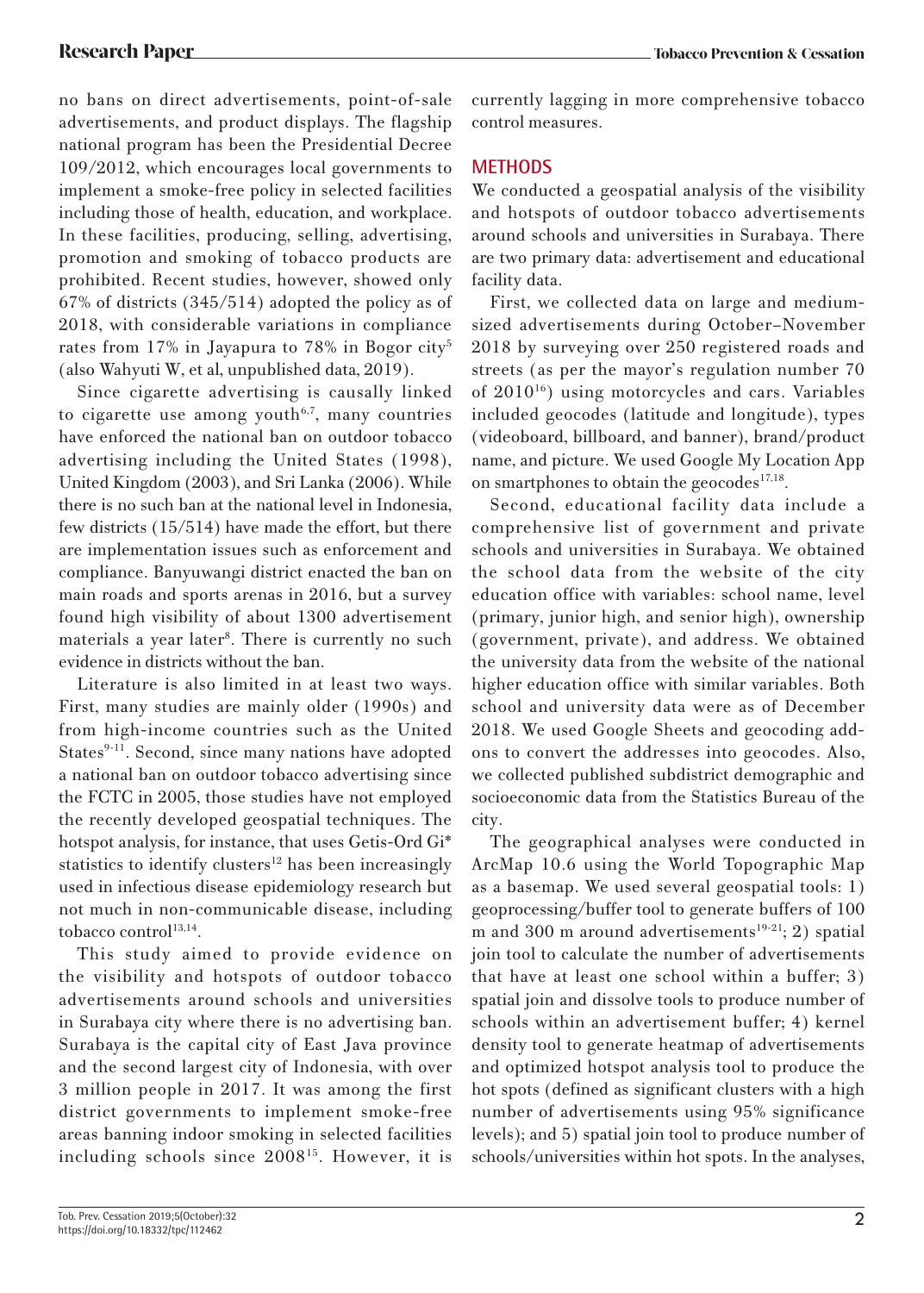no bans on direct advertisements, point-of-sale advertisements, and product displays. The flagship national program has been the Presidential Decree 109/2012, which encourages local governments to implement a smoke-free policy in selected facilities including those of health, education, and workplace. In these facilities, producing, selling, advertising, promotion and smoking of tobacco products are prohibited. Recent studies, however, showed only 67% of districts (345/514) adopted the policy as of 2018, with considerable variations in compliance rates from 17% in Jayapura to 78% in Bogor city<sup>5</sup> (also Wahyuti W, et al, unpublished data, 2019).

Since cigarette advertising is causally linked to cigarette use among youth<sup>6,7</sup>, many countries have enforced the national ban on outdoor tobacco advertising including the United States (1998), United Kingdom (2003), and Sri Lanka (2006). While there is no such ban at the national level in Indonesia, few districts (15/514) have made the effort, but there are implementation issues such as enforcement and compliance. Banyuwangi district enacted the ban on main roads and sports arenas in 2016, but a survey found high visibility of about 1300 advertisement materials a year later<sup>8</sup>. There is currently no such evidence in districts without the ban.

Literature is also limited in at least two ways. First, many studies are mainly older (1990s) and from high-income countries such as the United States<sup>9-11</sup>. Second, since many nations have adopted a national ban on outdoor tobacco advertising since the FCTC in 2005, those studies have not employed the recently developed geospatial techniques. The hotspot analysis, for instance, that uses Getis-Ord Gi\* statistics to identify clusters<sup>12</sup> has been increasingly used in infectious disease epidemiology research but not much in non-communicable disease, including tobacco control $13,14$ .

This study aimed to provide evidence on the visibility and hotspots of outdoor tobacco advertisements around schools and universities in Surabaya city where there is no advertising ban. Surabaya is the capital city of East Java province and the second largest city of Indonesia, with over 3 million people in 2017. It was among the first district governments to implement smoke-free areas banning indoor smoking in selected facilities including schools since 200815. However, it is currently lagging in more comprehensive tobacco control measures.

# **METHODS**

We conducted a geospatial analysis of the visibility and hotspots of outdoor tobacco advertisements around schools and universities in Surabaya. There are two primary data: advertisement and educational facility data.

First, we collected data on large and mediumsized advertisements during October–November 2018 by surveying over 250 registered roads and streets (as per the mayor's regulation number 70 of  $2010^{16}$ ) using motorcycles and cars. Variables included geocodes (latitude and longitude), types (videoboard, billboard, and banner), brand/product name, and picture. We used Google My Location App on smartphones to obtain the geocodes $17,18$ .

Second, educational facility data include a comprehensive list of government and private schools and universities in Surabaya. We obtained the school data from the website of the city education office with variables: school name, level (primary, junior high, and senior high), ownership (government, private), and address. We obtained the university data from the website of the national higher education office with similar variables. Both school and university data were as of December 2018. We used Google Sheets and geocoding addons to convert the addresses into geocodes. Also, we collected published subdistrict demographic and socioeconomic data from the Statistics Bureau of the city.

The geographical analyses were conducted in ArcMap 10.6 using the World Topographic Map as a basemap. We used several geospatial tools: 1) geoprocessing/buffer tool to generate buffers of 100 m and 300 m around advertisements<sup>19-21</sup>; 2) spatial join tool to calculate the number of advertisements that have at least one school within a buffer; 3) spatial join and dissolve tools to produce number of schools within an advertisement buffer; 4) kernel density tool to generate heatmap of advertisements and optimized hotspot analysis tool to produce the hot spots (defined as significant clusters with a high number of advertisements using 95% significance levels); and 5) spatial join tool to produce number of schools/universities within hot spots. In the analyses,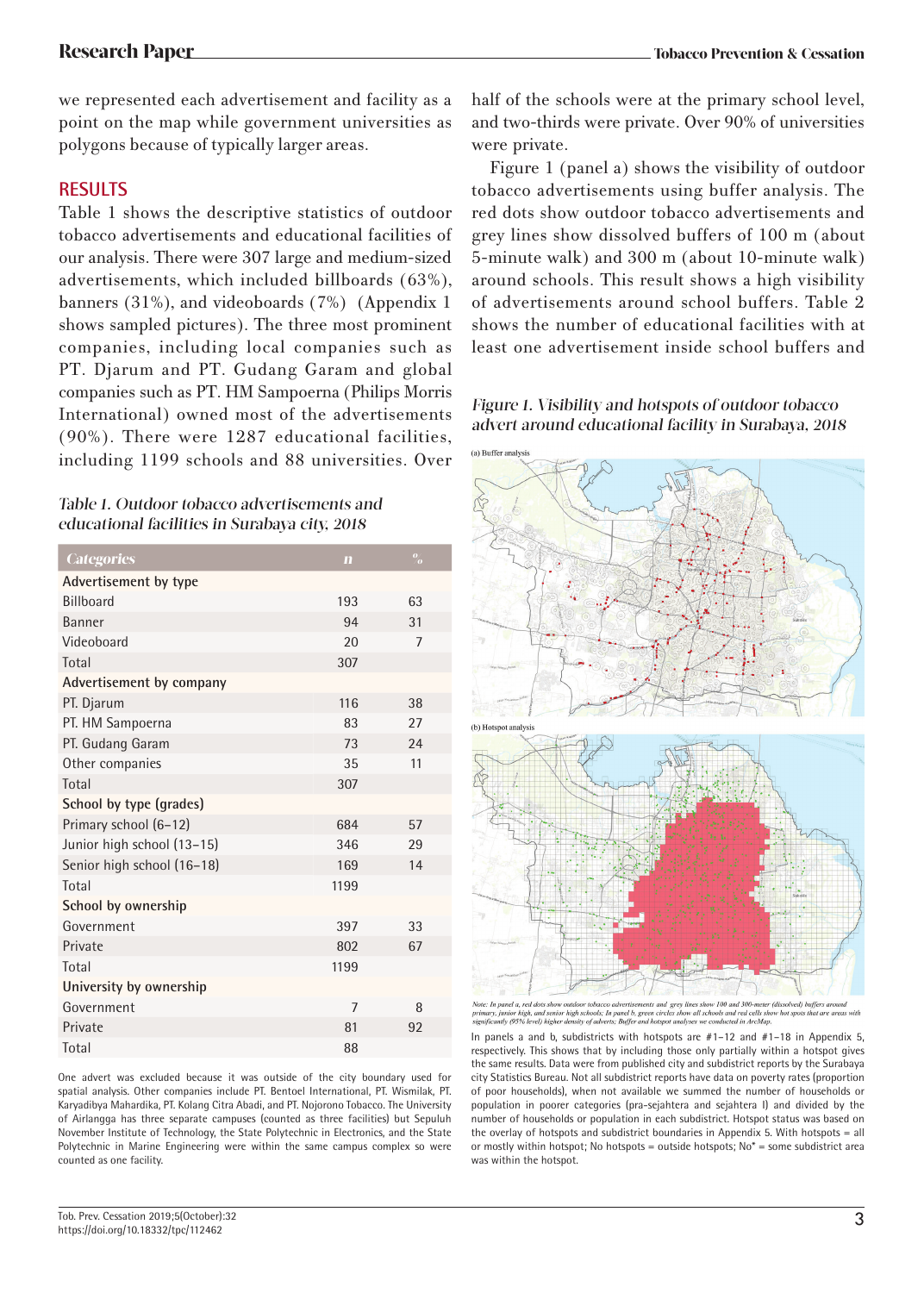we represented each advertisement and facility as a point on the map while government universities as polygons because of typically larger areas.

# **RESULTS**

Table 1 shows the descriptive statistics of outdoor tobacco advertisements and educational facilities of our analysis. There were 307 large and medium-sized advertisements, which included billboards (63%), banners (31%), and videoboards (7%) (Appendix 1 shows sampled pictures). The three most prominent companies, including local companies such as PT. Djarum and PT. Gudang Garam and global companies such as PT. HM Sampoerna (Philips Morris International) owned most of the advertisements (90%). There were 1287 educational facilities, including 1199 schools and 88 universities. Over

| Table 1. Outdoor tobacco advertisements and   |
|-----------------------------------------------|
| educational facilities in Surabaya city, 2018 |

| <b>Categories</b>          | $\mathbf{m}$   | $^{0/}_{0}$    |
|----------------------------|----------------|----------------|
| Advertisement by type      |                |                |
| <b>Billboard</b>           | 193            | 63             |
| Banner                     | 94             | 31             |
| Videoboard                 | 20             | $\overline{7}$ |
| Total                      | 307            |                |
| Advertisement by company   |                |                |
| PT. Djarum                 | 116            | 38             |
| PT. HM Sampoerna           | 83             | 27             |
| PT. Gudang Garam           | 73             | 24             |
| Other companies            | 35             | 11             |
| Total                      | 307            |                |
| School by type (grades)    |                |                |
| Primary school (6-12)      | 684            | 57             |
| Junior high school (13-15) | 346            | 29             |
| Senior high school (16-18) | 169            | 14             |
| Total                      | 1199           |                |
| School by ownership        |                |                |
| Government                 | 397            | 33             |
| Private                    | 802            | 67             |
| Total                      | 1199           |                |
| University by ownership    |                |                |
| Government                 | $\overline{7}$ | 8              |
| Private                    | 81             | 92             |
| Total                      | 88             |                |

One advert was excluded because it was outside of the city boundary used for spatial analysis. Other companies include PT. Bentoel International, PT. Wismilak, PT. Karyadibya Mahardika, PT. Kolang Citra Abadi, and PT. Nojorono Tobacco. The University of Airlangga has three separate campuses (counted as three facilities) but Sepuluh November Institute of Technology, the State Polytechnic in Electronics, and the State Polytechnic in Marine Engineering were within the same campus complex so were counted as one facility.

half of the schools were at the primary school level, and two-thirds were private. Over 90% of universities were private.

Figure 1 (panel a) shows the visibility of outdoor tobacco advertisements using buffer analysis. The red dots show outdoor tobacco advertisements and grey lines show dissolved buffers of 100 m (about 5-minute walk) and 300 m (about 10-minute walk) around schools. This result shows a high visibility of advertisements around school buffers. Table 2 shows the number of educational facilities with at least one advertisement inside school buffers and

Figure 1. Visibility and hotspots of outdoor tobacco advert around educational facility in Surabaya, 2018



Note: In panel a, red dots show outdoor tobacco advertisements and grey lines show 100 and 300-meter (dissolved) buffers<br>primary, junior high, and senior high schools: In panel b, green circles show all schools and red cel

In panels a and b, subdistricts with hotspots are #1–12 and #1–18 in Appendix 5, respectively. This shows that by including those only partially within a hotspot gives the same results. Data were from published city and subdistrict reports by the Surabaya city Statistics Bureau. Not all subdistrict reports have data on poverty rates (proportion of poor households), when not available we summed the number of households or population in poorer categories (pra-sejahtera and sejahtera I) and divided by the number of households or population in each subdistrict. Hotspot status was based on the overlay of hotspots and subdistrict boundaries in Appendix 5. With hotspots = all or mostly within hotspot; No hotspots = outside hotspots;  $No*$  = some subdistrict area was within the hotspot.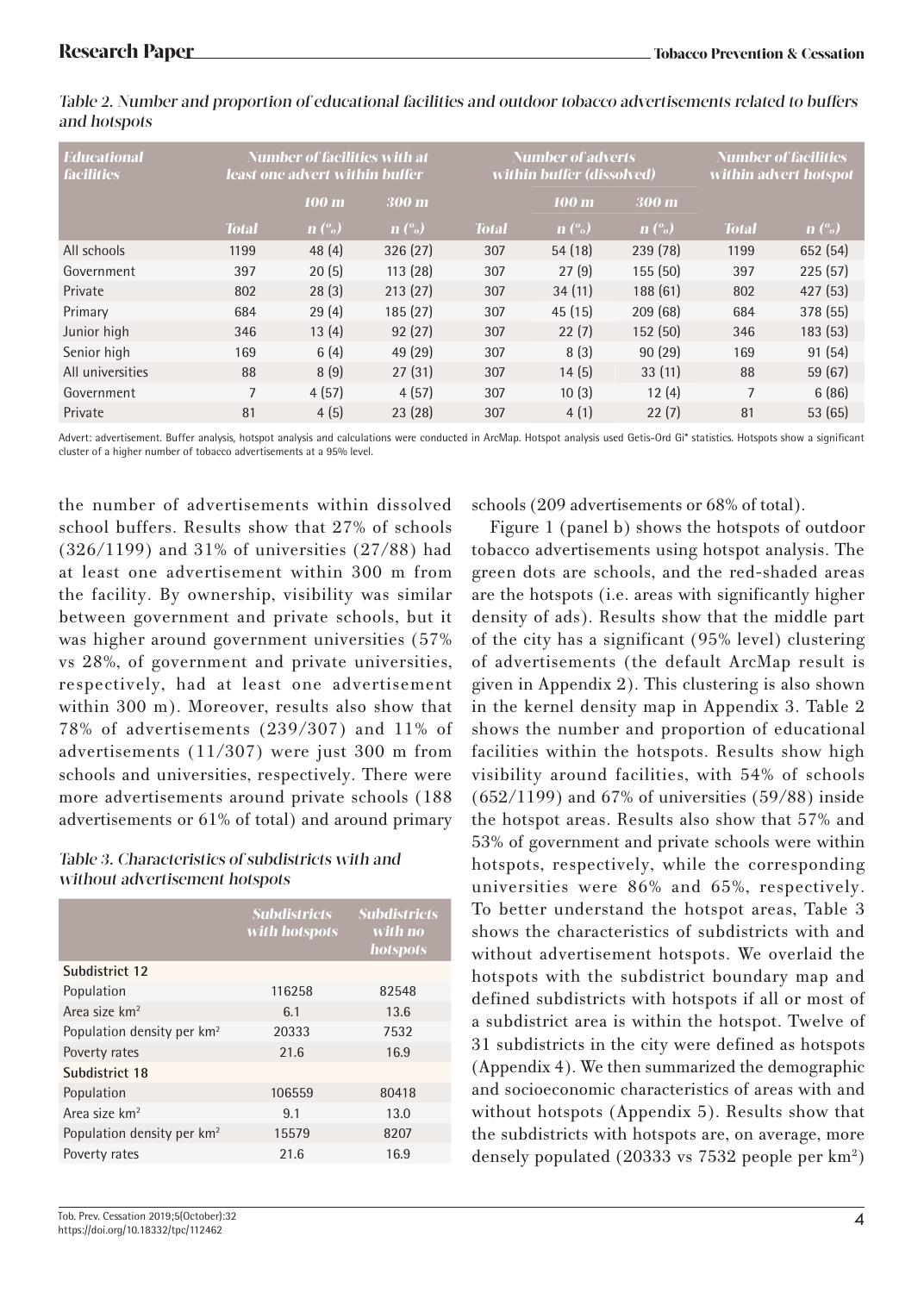| <b>Educational</b><br><b>facilities</b> | <b>Number of facilities with at</b><br>least one advert within buffer |                              | Number of adverts<br>within buffer (dissolved) |              |                              | Number of facilities<br>within advert hotspot |              |                              |
|-----------------------------------------|-----------------------------------------------------------------------|------------------------------|------------------------------------------------|--------------|------------------------------|-----------------------------------------------|--------------|------------------------------|
|                                         |                                                                       | 100 m                        | 300 m                                          |              | 100 m                        | 300 m                                         |              |                              |
|                                         | <b>Total</b>                                                          | $\mathbf{n}$ $\mathcal{C}_0$ | $\mathbf{n}$ $\mathcal{C}_0$                   | <b>Total</b> | $\mathbf{n}$ $\mathcal{O}_0$ | $\mathbf{n}$ $\mathcal{C}_0$                  | <b>Total</b> | $\mathbf{n}$ $\mathcal{O}_0$ |
| All schools                             | 1199                                                                  | 48(4)                        | 326(27)                                        | 307          | 54(18)                       | 239 (78)                                      | 1199         | 652 (54)                     |
| Government                              | 397                                                                   | 20(5)                        | 113(28)                                        | 307          | 27(9)                        | 155 (50)                                      | 397          | 225(57)                      |
| Private                                 | 802                                                                   | 28(3)                        | 213(27)                                        | 307          | 34(11)                       | 188(61)                                       | 802          | 427(53)                      |
| Primary                                 | 684                                                                   | 29(4)                        | 185(27)                                        | 307          | 45(15)                       | 209 (68)                                      | 684          | 378 (55)                     |
| Junior high                             | 346                                                                   | 13(4)                        | 92(27)                                         | 307          | 22(7)                        | 152(50)                                       | 346          | 183(53)                      |
| Senior high                             | 169                                                                   | 6(4)                         | 49 (29)                                        | 307          | 8(3)                         | 90(29)                                        | 169          | 91(54)                       |
| All universities                        | 88                                                                    | 8(9)                         | 27(31)                                         | 307          | 14(5)                        | 33(11)                                        | 88           | 59(67)                       |
| Government                              | $\overline{7}$                                                        | 4(57)                        | 4(57)                                          | 307          | 10(3)                        | 12(4)                                         | 7            | 6(86)                        |
| Private                                 | 81                                                                    | 4(5)                         | 23(28)                                         | 307          | 4(1)                         | 22(7)                                         | 81           | 53(65)                       |
|                                         |                                                                       |                              |                                                |              |                              |                                               |              |                              |

Table 2. Number and proportion of educational facilities and outdoor tobacco advertisements related to buffers and hotspots

Advert: advertisement. Buffer analysis, hotspot analysis and calculations were conducted in ArcMap. Hotspot analysis used Getis-Ord Gi\* statistics. Hotspots show a significant cluster of a higher number of tobacco advertisements at a 95% level.

the number of advertisements within dissolved school buffers. Results show that 27% of schools (326/1199) and 31% of universities (27/88) had at least one advertisement within 300 m from the facility. By ownership, visibility was similar between government and private schools, but it was higher around government universities (57% vs 28%, of government and private universities, respectively, had at least one advertisement within 300 m). Moreover, results also show that 78% of advertisements (239/307) and 11% of advertisements (11/307) were just 300 m from schools and universities, respectively. There were more advertisements around private schools (188 advertisements or 61% of total) and around primary

### Table 3. Characteristics of subdistricts with and without advertisement hotspots

|                                        | <b>Subdistricts</b><br>with hotspots | <b>Subdistricts</b><br>with no<br>hotspots |
|----------------------------------------|--------------------------------------|--------------------------------------------|
| Subdistrict 12                         |                                      |                                            |
| Population                             | 116258                               | 82548                                      |
| Area size km <sup>2</sup>              | 6.1                                  | 13.6                                       |
| Population density per km <sup>2</sup> | 20333                                | 7532                                       |
| Poverty rates                          | 21.6                                 | 16.9                                       |
| Subdistrict 18                         |                                      |                                            |
| Population                             | 106559                               | 80418                                      |
| Area size km <sup>2</sup>              | 9.1                                  | 13.0                                       |
| Population density per km <sup>2</sup> | 15579                                | 8207                                       |
| Poverty rates                          | 21.6                                 | 16.9                                       |
|                                        |                                      |                                            |

schools (209 advertisements or 68% of total).

Figure 1 (panel b) shows the hotspots of outdoor tobacco advertisements using hotspot analysis. The green dots are schools, and the red-shaded areas are the hotspots (i.e. areas with significantly higher density of ads). Results show that the middle part of the city has a significant (95% level) clustering of advertisements (the default ArcMap result is given in Appendix 2). This clustering is also shown in the kernel density map in Appendix 3. Table 2 shows the number and proportion of educational facilities within the hotspots. Results show high visibility around facilities, with 54% of schools  $(652/1199)$  and  $67%$  of universities  $(59/88)$  inside the hotspot areas. Results also show that 57% and 53% of government and private schools were within hotspots, respectively, while the corresponding universities were 86% and 65%, respectively. To better understand the hotspot areas, Table 3 shows the characteristics of subdistricts with and without advertisement hotspots. We overlaid the hotspots with the subdistrict boundary map and defined subdistricts with hotspots if all or most of a subdistrict area is within the hotspot. Twelve of 31 subdistricts in the city were defined as hotspots (Appendix 4). We then summarized the demographic and socioeconomic characteristics of areas with and without hotspots (Appendix 5). Results show that the subdistricts with hotspots are, on average, more densely populated (20333 vs 7532 people per km2 )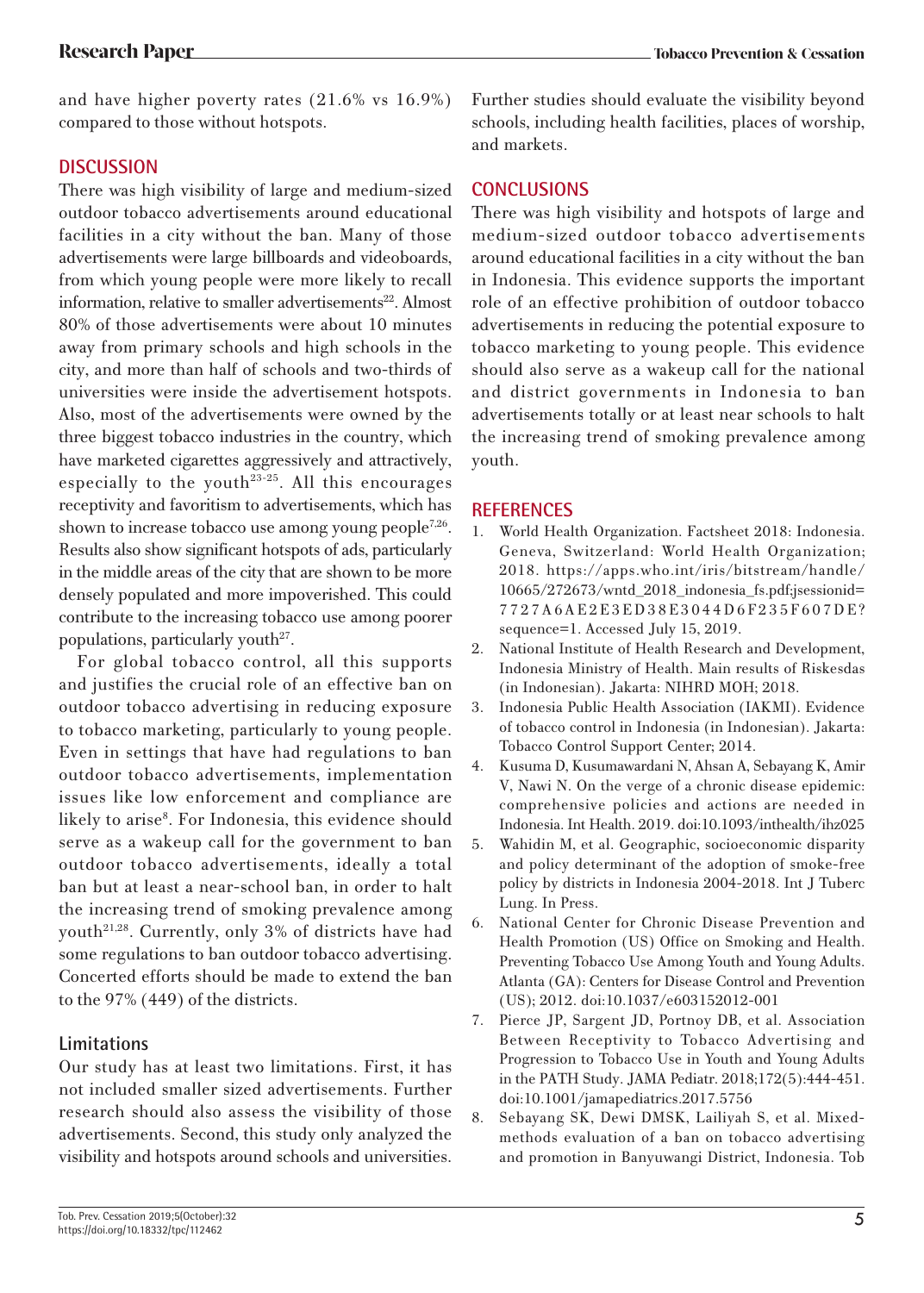and have higher poverty rates (21.6% vs 16.9%) compared to those without hotspots.

# **DISCUSSION**

There was high visibility of large and medium-sized outdoor tobacco advertisements around educational facilities in a city without the ban. Many of those advertisements were large billboards and videoboards, from which young people were more likely to recall information, relative to smaller advertisements<sup>22</sup>. Almost 80% of those advertisements were about 10 minutes away from primary schools and high schools in the city, and more than half of schools and two-thirds of universities were inside the advertisement hotspots. Also, most of the advertisements were owned by the three biggest tobacco industries in the country, which have marketed cigarettes aggressively and attractively, especially to the youth<sup>23-25</sup>. All this encourages receptivity and favoritism to advertisements, which has shown to increase tobacco use among young people<sup>7,26</sup>. Results also show significant hotspots of ads, particularly in the middle areas of the city that are shown to be more densely populated and more impoverished. This could contribute to the increasing tobacco use among poorer populations, particularly youth $2^7$ .

For global tobacco control, all this supports and justifies the crucial role of an effective ban on outdoor tobacco advertising in reducing exposure to tobacco marketing, particularly to young people. Even in settings that have had regulations to ban outdoor tobacco advertisements, implementation issues like low enforcement and compliance are likely to arise<sup>8</sup>. For Indonesia, this evidence should serve as a wakeup call for the government to ban outdoor tobacco advertisements, ideally a total ban but at least a near-school ban, in order to halt the increasing trend of smoking prevalence among youth21,28. Currently, only 3% of districts have had some regulations to ban outdoor tobacco advertising. Concerted efforts should be made to extend the ban to the 97% (449) of the districts.

# **Limitations**

Our study has at least two limitations. First, it has not included smaller sized advertisements. Further research should also assess the visibility of those advertisements. Second, this study only analyzed the visibility and hotspots around schools and universities.

Further studies should evaluate the visibility beyond schools, including health facilities, places of worship, and markets.

# **CONCLUSIONS**

There was high visibility and hotspots of large and medium-sized outdoor tobacco advertisements around educational facilities in a city without the ban in Indonesia. This evidence supports the important role of an effective prohibition of outdoor tobacco advertisements in reducing the potential exposure to tobacco marketing to young people. This evidence should also serve as a wakeup call for the national and district governments in Indonesia to ban advertisements totally or at least near schools to halt the increasing trend of smoking prevalence among youth.

## **REFERENCES**

- World Health Organization. Factsheet 2018: Indonesia. Geneva, Switzerland: World Health Organization; 2018. https://apps.who.int/iris/bitstream/handle/ 10665/272673/wntd\_2018\_indonesia\_fs.pdf;jsessionid= 7727A6AE2E3ED38E3044D6F235F607DE? sequence=1. Accessed July 15, 2019.
- 2. National Institute of Health Research and Development, Indonesia Ministry of Health. Main results of Riskesdas (in Indonesian). Jakarta: NIHRD MOH; 2018.
- 3. Indonesia Public Health Association (IAKMI). Evidence of tobacco control in Indonesia (in Indonesian). Jakarta: Tobacco Control Support Center; 2014.
- 4. Kusuma D, Kusumawardani N, Ahsan A, Sebayang K, Amir V, Nawi N. On the verge of a chronic disease epidemic: comprehensive policies and actions are needed in Indonesia. Int Health. 2019. doi:10.1093/inthealth/ihz025
- 5. Wahidin M, et al. Geographic, socioeconomic disparity and policy determinant of the adoption of smoke-free policy by districts in Indonesia 2004-2018. Int J Tuberc Lung. In Press.
- 6. National Center for Chronic Disease Prevention and Health Promotion (US) Office on Smoking and Health. Preventing Tobacco Use Among Youth and Young Adults. Atlanta (GA): Centers for Disease Control and Prevention (US); 2012. doi:10.1037/e603152012-001
- 7. Pierce JP, Sargent JD, Portnoy DB, et al. Association Between Receptivity to Tobacco Advertising and Progression to Tobacco Use in Youth and Young Adults in the PATH Study. JAMA Pediatr. 2018;172(5):444-451. doi:10.1001/jamapediatrics.2017.5756
- 8. Sebayang SK, Dewi DMSK, Lailiyah S, et al. Mixedmethods evaluation of a ban on tobacco advertising and promotion in Banyuwangi District, Indonesia. Tob